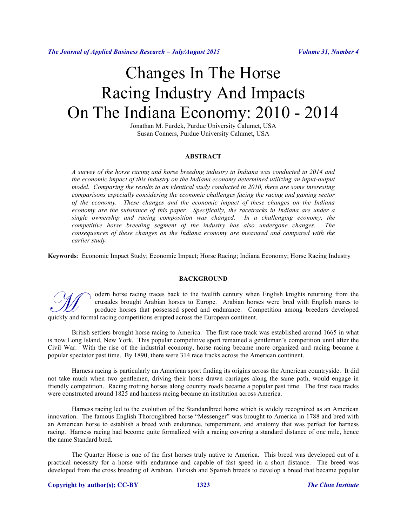# Changes In The Horse Racing Industry And Impacts On The Indiana Economy: 2010 - 2014

Jonathan M. Furdek, Purdue University Calumet, USA Susan Conners, Purdue University Calumet, USA

#### **ABSTRACT**

*A survey of the horse racing and horse breeding industry in Indiana was conducted in 2014 and the economic impact of this industry on the Indiana economy determined utilizing an input-output model. Comparing the results to an identical study conducted in 2010, there are some interesting comparisons especially considering the economic challenges facing the racing and gaming sector of the economy. These changes and the economic impact of these changes on the Indiana economy are the substance of this paper. Specifically, the racetracks in Indiana are under a single ownership and racing composition was changed. In a challenging economy, the competitive horse breeding segment of the industry has also undergone changes. The consequences of these changes on the Indiana economy are measured and compared with the earlier study.*

**Keywords**: Economic Impact Study; Economic Impact; Horse Racing; Indiana Economy; Horse Racing Industry

## **BACKGROUND**

odern horse racing traces back to the twelfth century when English knights returning from the crusades brought Arabian horses to Europe. Arabian horses were bred with English mares to produce horses that possessed speed and endurance. Competition among breeders developed odern horse racing traces back to the twelfth century where crusades brought Arabian horses to Europe. Arabian horse produce horses that possessed speed and endurance. Conquickly and formal racing competitions erupted acro

British settlers brought horse racing to America. The first race track was established around 1665 in what is now Long Island, New York. This popular competitive sport remained a gentleman's competition until after the Civil War. With the rise of the industrial economy, horse racing became more organized and racing became a popular spectator past time. By 1890, there were 314 race tracks across the American continent.

Harness racing is particularly an American sport finding its origins across the American countryside. It did not take much when two gentlemen, driving their horse drawn carriages along the same path, would engage in friendly competition. Racing trotting horses along country roads became a popular past time. The first race tracks were constructed around 1825 and harness racing became an institution across America.

Harness racing led to the evolution of the Standardbred horse which is widely recognized as an American innovation. The famous English Thoroughbred horse "Messenger" was brought to America in 1788 and bred with an American horse to establish a breed with endurance, temperament, and anatomy that was perfect for harness racing. Harness racing had become quite formalized with a racing covering a standard distance of one mile, hence the name Standard bred.

The Quarter Horse is one of the first horses truly native to America. This breed was developed out of a practical necessity for a horse with endurance and capable of fast speed in a short distance. The breed was developed from the cross breeding of Arabian, Turkish and Spanish breeds to develop a breed that became popular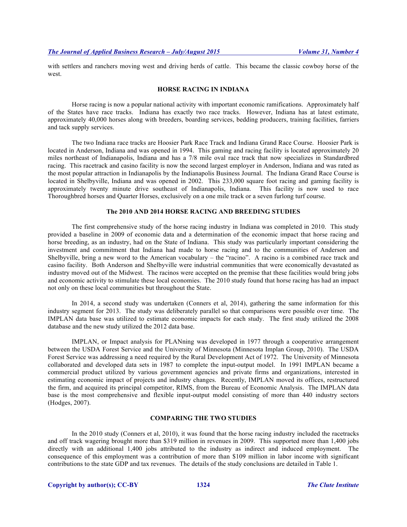with settlers and ranchers moving west and driving herds of cattle. This became the classic cowboy horse of the west.

### **HORSE RACING IN INDIANA**

Horse racing is now a popular national activity with important economic ramifications. Approximately half of the States have race tracks. Indiana has exactly two race tracks. However, Indiana has at latest estimate, approximately 40,000 horses along with breeders, boarding services, bedding producers, training facilities, farriers and tack supply services.

The two Indiana race tracks are Hoosier Park Race Track and Indiana Grand Race Course. Hoosier Park is located in Anderson, Indiana and was opened in 1994. This gaming and racing facility is located approximately 20 miles northeast of Indianapolis, Indiana and has a 7/8 mile oval race track that now specializes in Standardbred racing. This racetrack and casino facility is now the second largest employer in Anderson, Indiana and was rated as the most popular attraction in Indianapolis by the Indianapolis Business Journal. The Indiana Grand Race Course is located in Shelbyville, Indiana and was opened in 2002. This 233,000 square foot racing and gaming facility is approximately twenty minute drive southeast of Indianapolis, Indiana. This facility is now used to race Thoroughbred horses and Quarter Horses, exclusively on a one mile track or a seven furlong turf course.

## **The 2010 AND 2014 HORSE RACING AND BREEDING STUDIES**

The first comprehensive study of the horse racing industry in Indiana was completed in 2010. This study provided a baseline in 2009 of economic data and a determination of the economic impact that horse racing and horse breeding, as an industry, had on the State of Indiana. This study was particularly important considering the investment and commitment that Indiana had made to horse racing and to the communities of Anderson and Shelbyville, bring a new word to the American vocabulary – the "racino". A racino is a combined race track and casino facility. Both Anderson and Shelbyville were industrial communities that were economically devastated as industry moved out of the Midwest. The racinos were accepted on the premise that these facilities would bring jobs and economic activity to stimulate these local economies. The 2010 study found that horse racing has had an impact not only on these local communities but throughout the State.

In 2014, a second study was undertaken (Conners et al, 2014), gathering the same information for this industry segment for 2013. The study was deliberately parallel so that comparisons were possible over time. The IMPLAN data base was utilized to estimate economic impacts for each study. The first study utilized the 2008 database and the new study utilized the 2012 data base.

IMPLAN, or Impact analysis for PLANning was developed in 1977 through a cooperative arrangement between the USDA Forest Service and the University of Minnesota (Minnesota Implan Group, 2010). The USDA Forest Service was addressing a need required by the Rural Development Act of 1972. The University of Minnesota collaborated and developed data sets in 1987 to complete the input-output model. In 1991 IMPLAN became a commercial product utilized by various government agencies and private firms and organizations, interested in estimating economic impact of projects and industry changes. Recently, IMPLAN moved its offices, restructured the firm, and acquired its principal competitor, RIMS, from the Bureau of Economic Analysis. The IMPLAN data base is the most comprehensive and flexible input-output model consisting of more than 440 industry sectors (Hodges, 2007).

## **COMPARING THE TWO STUDIES**

In the 2010 study (Conners et al, 2010), it was found that the horse racing industry included the racetracks and off track wagering brought more than \$319 million in revenues in 2009. This supported more than 1,400 jobs directly with an additional 1,400 jobs attributed to the industry as indirect and induced employment. The consequence of this employment was a contribution of more than \$109 million in labor income with significant contributions to the state GDP and tax revenues. The details of the study conclusions are detailed in Table 1.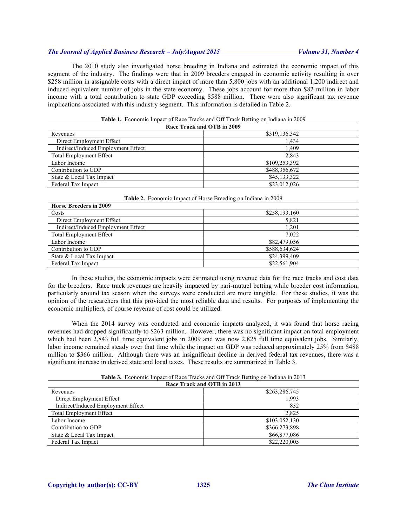# *The Journal of Applied Business Research – July/August 2015 Volume 31, Number 4*

The 2010 study also investigated horse breeding in Indiana and estimated the economic impact of this segment of the industry. The findings were that in 2009 breeders engaged in economic activity resulting in over \$258 million in assignable costs with a direct impact of more than 5,800 jobs with an additional 1,200 indirect and induced equivalent number of jobs in the state economy. These jobs account for more than \$82 million in labor income with a total contribution to state GDP exceeding \$588 million. There were also significant tax revenue implications associated with this industry segment. This information is detailed in Table 2.

**Table 1.** Economic Impact of Race Tracks and Off Track Betting on Indiana in 2009

| Race Track and OTB in 2009 |  |  |  |  |
|----------------------------|--|--|--|--|
| \$319,136,342              |  |  |  |  |
| 1,434                      |  |  |  |  |
| 1.409                      |  |  |  |  |
| 2.843                      |  |  |  |  |
| \$109,253,392              |  |  |  |  |
| \$488,356,672              |  |  |  |  |
| \$45,133,322               |  |  |  |  |
| \$23,012,026               |  |  |  |  |
|                            |  |  |  |  |

|  |  |  |  |  | Table 2. Economic Impact of Horse Breeding on Indiana in 2009 |  |
|--|--|--|--|--|---------------------------------------------------------------|--|
|--|--|--|--|--|---------------------------------------------------------------|--|

| <b>THAT'S DESCRIPTION IN ZUVY</b>  |               |  |  |  |
|------------------------------------|---------------|--|--|--|
| Costs                              | \$258,193,160 |  |  |  |
| Direct Employment Effect           | 5.821         |  |  |  |
| Indirect/Induced Employment Effect | 1,201         |  |  |  |
| <b>Total Employment Effect</b>     | 7.022         |  |  |  |
| Labor Income                       | \$82,479,056  |  |  |  |
| Contribution to GDP                | \$588,634,624 |  |  |  |
| State & Local Tax Impact           | \$24,399,409  |  |  |  |
| Federal Tax Impact                 | \$22,561,904  |  |  |  |
|                                    |               |  |  |  |

In these studies, the economic impacts were estimated using revenue data for the race tracks and cost data for the breeders. Race track revenues are heavily impacted by pari-mutuel betting while breeder cost information, particularly around tax season when the surveys were conducted are more tangible. For these studies, it was the opinion of the researchers that this provided the most reliable data and results. For purposes of implementing the economic multipliers, of course revenue of cost could be utilized.

When the 2014 survey was conducted and economic impacts analyzed, it was found that horse racing revenues had dropped significantly to \$263 million. However, there was no significant impact on total employment which had been 2,843 full time equivalent jobs in 2009 and was now 2,825 full time equivalent jobs. Similarly, labor income remained steady over that time while the impact on GDP was reduced approximately 25% from \$488 million to \$366 million. Although there was an insignificant decline in derived federal tax revenues, there was a significant increase in derived state and local taxes. These results are summarized in Table 3.

**Table 3.** Economic Impact of Race Tracks and Off Track Betting on Indiana in 2013

| Race Track and OTB in 2013         |               |  |  |  |  |
|------------------------------------|---------------|--|--|--|--|
| Revenues                           | \$263,286,745 |  |  |  |  |
| Direct Employment Effect           | 1.993         |  |  |  |  |
| Indirect/Induced Employment Effect | 832           |  |  |  |  |
| <b>Total Employment Effect</b>     | 2.825         |  |  |  |  |
| Labor Income                       | \$103,052,130 |  |  |  |  |
| Contribution to GDP                | \$366,273,898 |  |  |  |  |
| State & Local Tax Impact           | \$66,877,086  |  |  |  |  |
| Federal Tax Impact                 | \$22,220,005  |  |  |  |  |

**Horse Breeders in 2009**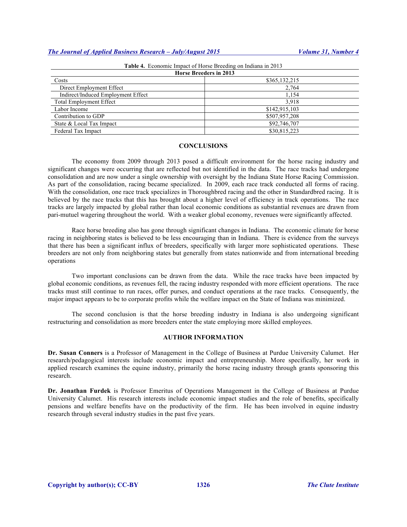## *The Journal of Applied Business Research – July/August 2015 Volume 31, Number 4*

| <b>Table 4.</b> Economic Impact of Horse Breeding on Indiana in 2013 |               |  |  |  |  |
|----------------------------------------------------------------------|---------------|--|--|--|--|
| <b>Horse Breeders in 2013</b>                                        |               |  |  |  |  |
| Costs                                                                | \$365,132,215 |  |  |  |  |
| Direct Employment Effect                                             | 2,764         |  |  |  |  |
| Indirect/Induced Employment Effect                                   | 1.154         |  |  |  |  |
| <b>Total Employment Effect</b>                                       | 3.918         |  |  |  |  |
| Labor Income                                                         | \$142,915,103 |  |  |  |  |
| Contribution to GDP                                                  | \$507,957,208 |  |  |  |  |
| State & Local Tax Impact                                             | \$92,746,707  |  |  |  |  |
| Federal Tax Impact                                                   | \$30,815,223  |  |  |  |  |

## **CONCLUSIONS**

The economy from 2009 through 2013 posed a difficult environment for the horse racing industry and significant changes were occurring that are reflected but not identified in the data. The race tracks had undergone consolidation and are now under a single ownership with oversight by the Indiana State Horse Racing Commission. As part of the consolidation, racing became specialized. In 2009, each race track conducted all forms of racing. With the consolidation, one race track specializes in Thoroughbred racing and the other in Standardbred racing. It is believed by the race tracks that this has brought about a higher level of efficiency in track operations. The race tracks are largely impacted by global rather than local economic conditions as substantial revenues are drawn from pari-mutuel wagering throughout the world. With a weaker global economy, revenues were significantly affected.

Race horse breeding also has gone through significant changes in Indiana. The economic climate for horse racing in neighboring states is believed to be less encouraging than in Indiana. There is evidence from the surveys that there has been a significant influx of breeders, specifically with larger more sophisticated operations. These breeders are not only from neighboring states but generally from states nationwide and from international breeding operations

Two important conclusions can be drawn from the data. While the race tracks have been impacted by global economic conditions, as revenues fell, the racing industry responded with more efficient operations. The race tracks must still continue to run races, offer purses, and conduct operations at the race tracks. Consequently, the major impact appears to be to corporate profits while the welfare impact on the State of Indiana was minimized.

The second conclusion is that the horse breeding industry in Indiana is also undergoing significant restructuring and consolidation as more breeders enter the state employing more skilled employees.

## **AUTHOR INFORMATION**

**Dr. Susan Conners** is a Professor of Management in the College of Business at Purdue University Calumet. Her research/pedagogical interests include economic impact and entrepreneurship. More specifically, her work in applied research examines the equine industry, primarily the horse racing industry through grants sponsoring this research.

**Dr. Jonathan Furdek** is Professor Emeritus of Operations Management in the College of Business at Purdue University Calumet. His research interests include economic impact studies and the role of benefits, specifically pensions and welfare benefits have on the productivity of the firm. He has been involved in equine industry research through several industry studies in the past five years.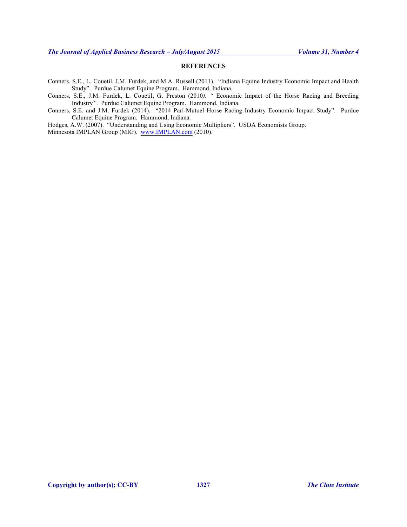## **REFERENCES**

Conners, S.E., L. Couetil, J.M. Furdek, and M.A. Russell (2011). "Indiana Equine Industry Economic Impact and Health Study". Purdue Calumet Equine Program. Hammond, Indiana.

Conners, S.E., J.M. Furdek, L. Couetil, G. Preston (2010*). "* Economic Impact of the Horse Racing and Breeding Industry*"*. Purdue Calumet Equine Program. Hammond, Indiana.

Conners, S.E. and J.M. Furdek (2014). "2014 Pari-Mutuel Horse Racing Industry Economic Impact Study". Purdue Calumet Equine Program. Hammond, Indiana.

Hodges, A.W. (2007). "Understanding and Using Economic Multipliers". USDA Economists Group. Minnesota IMPLAN Group (MIG). www.IMPLAN.com (2010).